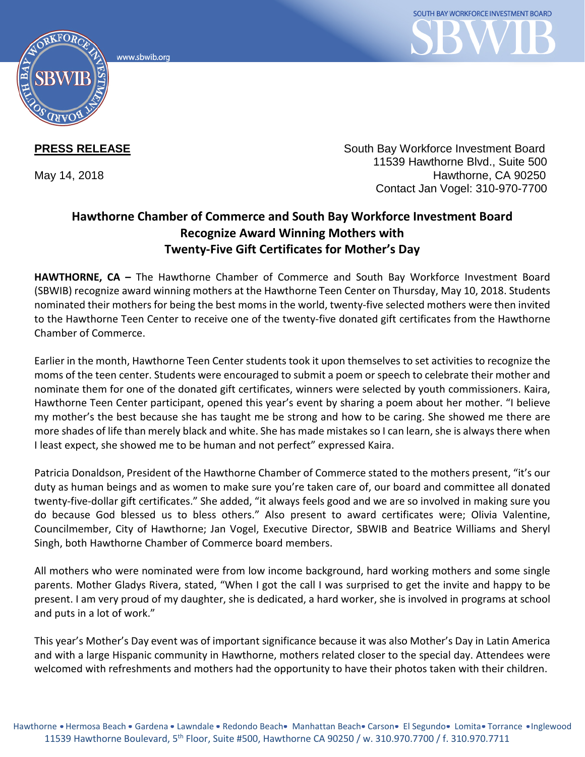www.sbwib.org



**PRESS RELEASE** South Bay Workforce Investment Board 11539 Hawthorne Blvd., Suite 500 May 14, 2018 **Hawthorne**, CA 90250 Contact Jan Vogel: 310-970-7700

## **Hawthorne Chamber of Commerce and South Bay Workforce Investment Board Recognize Award Winning Mothers with Twenty-Five Gift Certificates for Mother's Day**

**HAWTHORNE, CA –** The Hawthorne Chamber of Commerce and South Bay Workforce Investment Board (SBWIB) recognize award winning mothers at the Hawthorne Teen Center on Thursday, May 10, 2018. Students nominated their mothers for being the best moms in the world, twenty-five selected mothers were then invited to the Hawthorne Teen Center to receive one of the twenty-five donated gift certificates from the Hawthorne Chamber of Commerce.

Earlier in the month, Hawthorne Teen Center students took it upon themselves to set activities to recognize the moms of the teen center. Students were encouraged to submit a poem or speech to celebrate their mother and nominate them for one of the donated gift certificates, winners were selected by youth commissioners. Kaira, Hawthorne Teen Center participant, opened this year's event by sharing a poem about her mother. "I believe my mother's the best because she has taught me be strong and how to be caring. She showed me there are more shades of life than merely black and white. She has made mistakes so I can learn, she is always there when I least expect, she showed me to be human and not perfect" expressed Kaira.

Patricia Donaldson, President of the Hawthorne Chamber of Commerce stated to the mothers present, "it's our duty as human beings and as women to make sure you're taken care of, our board and committee all donated twenty-five-dollar gift certificates." She added, "it always feels good and we are so involved in making sure you do because God blessed us to bless others." Also present to award certificates were; Olivia Valentine, Councilmember, City of Hawthorne; Jan Vogel, Executive Director, SBWIB and Beatrice Williams and Sheryl Singh, both Hawthorne Chamber of Commerce board members.

All mothers who were nominated were from low income background, hard working mothers and some single parents. Mother Gladys Rivera, stated, "When I got the call I was surprised to get the invite and happy to be present. I am very proud of my daughter, she is dedicated, a hard worker, she is involved in programs at school and puts in a lot of work."

This year's Mother's Day event was of important significance because it was also Mother's Day in Latin America and with a large Hispanic community in Hawthorne, mothers related closer to the special day. Attendees were welcomed with refreshments and mothers had the opportunity to have their photos taken with their children.